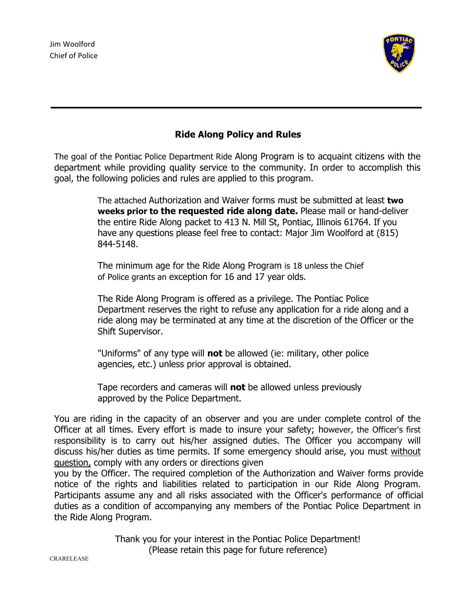

### **Ride Along Policy and Rules**

The goal of the Pontiac Police Department Ride Along Program is to acquaint citizens with the department while providing quality service to the community. In order to accomplish this goal, the following policies and rules are applied to this program.

> The attached Authorization and Waiver forms must be submitted at least **two weeks prior to the requested ride along date.** Please mail or hand-deliver the entire Ride Along packet to 413 N. Mill St, Pontiac, Illinois 61764. If you have any questions please feel free to contact: Major Jim Woolford at (815) 844-5148.

The minimum age for the Ride Along Program is 18 unless the Chief of Police grants an exception for 16 and 17 year olds.

The Ride Along Program is offered as a privilege. The Pontiac Police Department reserves the right to refuse any application for a ride along and a ride along may be terminated at any time at the discretion of the Officer or the Shift Supervisor.

"Uniforms" of any type will **not** be allowed (ie: military, other police agencies, etc.) unless prior approval is obtained.

Tape recorders and cameras will **not** be allowed unless previously approved by the Police Department.

You are riding in the capacity of an observer and you are under complete control of the Officer at all times. Every effort is made to insure your safety; however, the Officer's first responsibility is to carry out his/her assigned duties. The Officer you accompany will discuss his/her duties as time permits. If some emergency should arise, you must without question, comply with any orders or directions given

you by the Officer. The required completion of the Authorization and Waiver forms provide notice of the rights and liabilities related to participation in our Ride Along Program. Participants assume any and all risks associated with the Officer's performance of official duties as a condition of accompanying any members of the Pontiac Police Department in the Ride Along Program.

> Thank you for your interest in the Pontiac Police Department! (Please retain this page for future reference)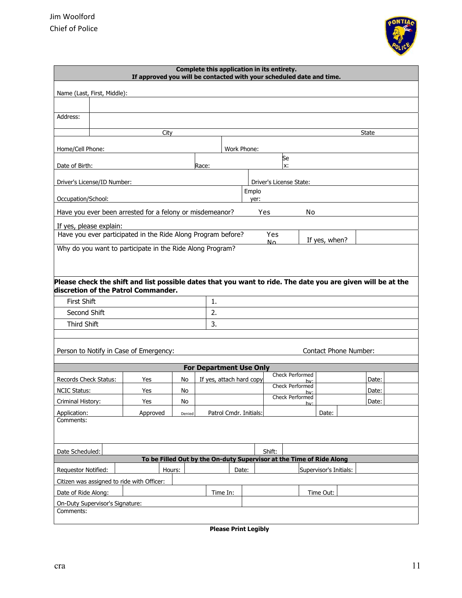

| Complete this application in its entirety.<br>If approved you will be contacted with your scheduled date and time. |                                                                       |                                                              |        |                                |             |                        |                |                         |                              |                                                                                                             |
|--------------------------------------------------------------------------------------------------------------------|-----------------------------------------------------------------------|--------------------------------------------------------------|--------|--------------------------------|-------------|------------------------|----------------|-------------------------|------------------------------|-------------------------------------------------------------------------------------------------------------|
|                                                                                                                    | Name (Last, First, Middle):                                           |                                                              |        |                                |             |                        |                |                         |                              |                                                                                                             |
|                                                                                                                    |                                                                       |                                                              |        |                                |             |                        |                |                         |                              |                                                                                                             |
| Address:                                                                                                           |                                                                       |                                                              |        |                                |             |                        |                |                         |                              |                                                                                                             |
|                                                                                                                    |                                                                       |                                                              |        |                                |             |                        |                |                         |                              |                                                                                                             |
|                                                                                                                    |                                                                       | City                                                         |        |                                |             |                        |                |                         |                              | State                                                                                                       |
| Home/Cell Phone:                                                                                                   |                                                                       |                                                              |        |                                | Work Phone: |                        |                |                         |                              |                                                                                                             |
| Date of Birth:                                                                                                     |                                                                       |                                                              |        | Race:                          |             |                        |                | Se<br>x:                |                              |                                                                                                             |
|                                                                                                                    |                                                                       |                                                              |        |                                |             |                        |                |                         |                              |                                                                                                             |
|                                                                                                                    | Driver's License/ID Number:                                           |                                                              |        |                                |             |                        |                | Driver's License State: |                              |                                                                                                             |
| Occupation/School:                                                                                                 |                                                                       |                                                              |        |                                |             | Emplo<br>yer:          |                |                         |                              |                                                                                                             |
|                                                                                                                    | Have you ever been arrested for a felony or misdemeanor?<br>Yes<br>No |                                                              |        |                                |             |                        |                |                         |                              |                                                                                                             |
|                                                                                                                    | If yes, please explain:                                               |                                                              |        |                                |             |                        |                |                         |                              |                                                                                                             |
|                                                                                                                    |                                                                       | Have you ever participated in the Ride Along Program before? |        |                                |             |                        | <b>Yes</b>     |                         | If yes, when?                |                                                                                                             |
|                                                                                                                    |                                                                       | Why do you want to participate in the Ride Along Program?    |        |                                |             |                        | N <sub>0</sub> |                         |                              |                                                                                                             |
|                                                                                                                    |                                                                       |                                                              |        |                                |             |                        |                |                         |                              |                                                                                                             |
|                                                                                                                    |                                                                       |                                                              |        |                                |             |                        |                |                         |                              |                                                                                                             |
|                                                                                                                    |                                                                       | discretion of the Patrol Commander.                          |        |                                |             |                        |                |                         |                              | Please check the shift and list possible dates that you want to ride. The date you are given will be at the |
| <b>First Shift</b>                                                                                                 |                                                                       |                                                              |        | 1.                             |             |                        |                |                         |                              |                                                                                                             |
| Second Shift                                                                                                       |                                                                       |                                                              |        | 2.                             |             |                        |                |                         |                              |                                                                                                             |
| Third Shift                                                                                                        |                                                                       |                                                              |        | 3.                             |             |                        |                |                         |                              |                                                                                                             |
|                                                                                                                    |                                                                       |                                                              |        |                                |             |                        |                |                         |                              |                                                                                                             |
|                                                                                                                    |                                                                       | Person to Notify in Case of Emergency:                       |        |                                |             |                        |                |                         | <b>Contact Phone Number:</b> |                                                                                                             |
|                                                                                                                    |                                                                       |                                                              |        |                                |             |                        |                |                         |                              |                                                                                                             |
|                                                                                                                    |                                                                       |                                                              |        | <b>For Department Use Only</b> |             |                        |                | Check Performed         |                              |                                                                                                             |
| Records Check Status:                                                                                              |                                                                       | Yes                                                          | No     | If yes, attach hard copy       |             |                        |                | hv:<br>Check Performed  |                              | Date:                                                                                                       |
| NCIC Status:                                                                                                       |                                                                       | Yes                                                          | No     |                                |             |                        |                | hv:<br>Check Performed  |                              | Date:                                                                                                       |
| Criminal History:                                                                                                  |                                                                       | Yes                                                          | No     |                                |             |                        |                | hv·                     |                              | Date:                                                                                                       |
| Application:<br>Comments:                                                                                          |                                                                       | Approved                                                     | Denied |                                |             | Patrol Cmdr. Initials: |                |                         | Date:                        |                                                                                                             |
|                                                                                                                    |                                                                       |                                                              |        |                                |             |                        |                |                         |                              |                                                                                                             |
|                                                                                                                    |                                                                       |                                                              |        |                                |             |                        |                |                         |                              |                                                                                                             |
| Shift:<br>Date Scheduled:<br>To be Filled Out by the On-duty Supervisor at the Time of Ride Along                  |                                                                       |                                                              |        |                                |             |                        |                |                         |                              |                                                                                                             |
|                                                                                                                    |                                                                       | Hours:                                                       |        |                                |             |                        |                |                         | Supervisor's Initials:       |                                                                                                             |
| Requestor Notified:<br>Date:<br>Citizen was assigned to ride with Officer:                                         |                                                                       |                                                              |        |                                |             |                        |                |                         |                              |                                                                                                             |
| Date of Ride Along:<br>Time In:                                                                                    |                                                                       |                                                              |        |                                |             |                        |                | Time Out:               |                              |                                                                                                             |
| On-Duty Supervisor's Signature:                                                                                    |                                                                       |                                                              |        |                                |             |                        |                |                         |                              |                                                                                                             |
| Comments:                                                                                                          |                                                                       |                                                              |        |                                |             |                        |                |                         |                              |                                                                                                             |

**Please Print Legibly**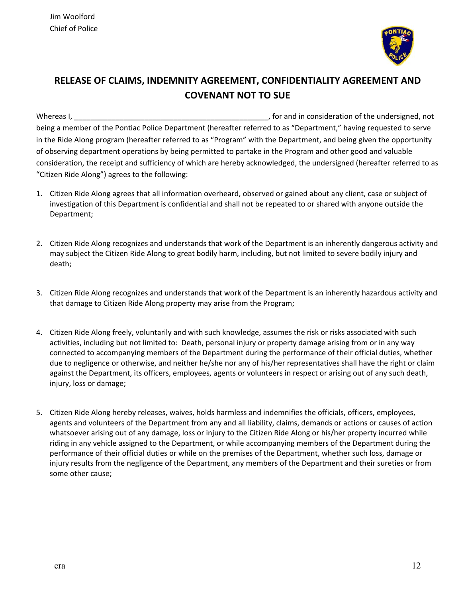

# **RELEASE OF CLAIMS, INDEMNITY AGREEMENT, CONFIDENTIALITY AGREEMENT AND COVENANT NOT TO SUE**

Whereas I, **whereas I, and it consideration** of the undersigned, not being a member of the Pontiac Police Department (hereafter referred to as "Department," having requested to serve in the Ride Along program (hereafter referred to as "Program" with the Department, and being given the opportunity of observing department operations by being permitted to partake in the Program and other good and valuable consideration, the receipt and sufficiency of which are hereby acknowledged, the undersigned (hereafter referred to as "Citizen Ride Along") agrees to the following:

- 1. Citizen Ride Along agrees that all information overheard, observed or gained about any client, case or subject of investigation of this Department is confidential and shall not be repeated to or shared with anyone outside the Department;
- 2. Citizen Ride Along recognizes and understands that work of the Department is an inherently dangerous activity and may subject the Citizen Ride Along to great bodily harm, including, but not limited to severe bodily injury and death;
- 3. Citizen Ride Along recognizes and understands that work of the Department is an inherently hazardous activity and that damage to Citizen Ride Along property may arise from the Program;
- 4. Citizen Ride Along freely, voluntarily and with such knowledge, assumes the risk or risks associated with such activities, including but not limited to: Death, personal injury or property damage arising from or in any way connected to accompanying members of the Department during the performance of their official duties, whether due to negligence or otherwise, and neither he/she nor any of his/her representatives shall have the right or claim against the Department, its officers, employees, agents or volunteers in respect or arising out of any such death, injury, loss or damage;
- 5. Citizen Ride Along hereby releases, waives, holds harmless and indemnifies the officials, officers, employees, agents and volunteers of the Department from any and all liability, claims, demands or actions or causes of action whatsoever arising out of any damage, loss or injury to the Citizen Ride Along or his/her property incurred while riding in any vehicle assigned to the Department, or while accompanying members of the Department during the performance of their official duties or while on the premises of the Department, whether such loss, damage or injury results from the negligence of the Department, any members of the Department and their sureties or from some other cause;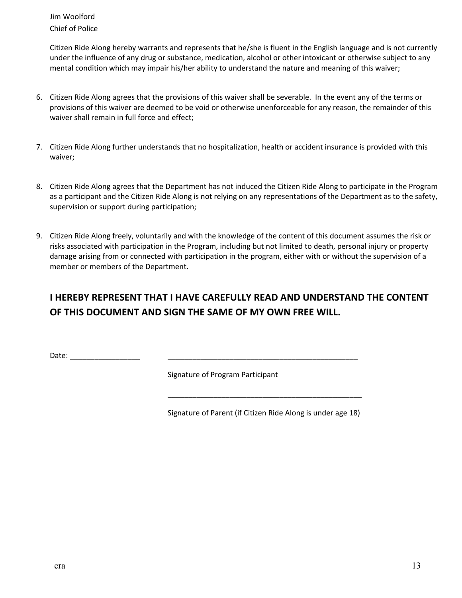Jim Woolford Chief of Police

Citizen Ride Along hereby warrants and represents that he/she is fluent in the English language and is not currently under the influence of any drug or substance, medication, alcohol or other intoxicant or otherwise subject to any mental condition which may impair his/her ability to understand the nature and meaning of this waiver;

- 6. Citizen Ride Along agrees that the provisions of this waiver shall be severable. In the event any of the terms or provisions of this waiver are deemed to be void or otherwise unenforceable for any reason, the remainder of this waiver shall remain in full force and effect;
- 7. Citizen Ride Along further understands that no hospitalization, health or accident insurance is provided with this waiver;
- 8. Citizen Ride Along agrees that the Department has not induced the Citizen Ride Along to participate in the Program as a participant and the Citizen Ride Along is not relying on any representations of the Department as to the safety, supervision or support during participation;
- 9. Citizen Ride Along freely, voluntarily and with the knowledge of the content of this document assumes the risk or risks associated with participation in the Program, including but not limited to death, personal injury or property damage arising from or connected with participation in the program, either with or without the supervision of a member or members of the Department.

## **I HEREBY REPRESENT THAT I HAVE CAREFULLY READ AND UNDERSTAND THE CONTENT OF THIS DOCUMENT AND SIGN THE SAME OF MY OWN FREE WILL.**

Date:  $\Box$ 

Signature of Program Participant

 $\overline{\phantom{a}}$  , and the contract of the contract of the contract of the contract of the contract of the contract of the contract of the contract of the contract of the contract of the contract of the contract of the contrac

Signature of Parent (if Citizen Ride Along is under age 18)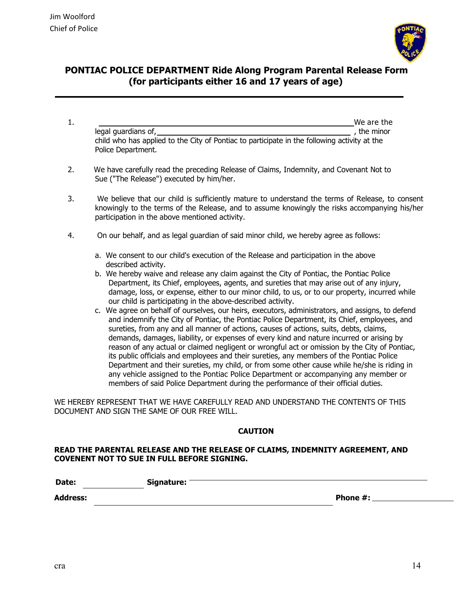

### **PONTIAC POLICE DEPARTMENT Ride Along Program Parental Release Form (for participants either 16 and 17 years of age)**

- 1. We are the contract of the contract of the contract of the contract of the contract of the contract of the contract of the contract of the contract of the contract of the contract of the contract of the contract of the legal guardians of, **Sancture Community** and the minor control of the minor control of the minor child who has applied to the City of Pontiac to participate in the following activity at the Police Department.
- 2. We have carefully read the preceding Release of Claims, Indemnity, and Covenant Not to Sue ("The Release") executed by him/her.
- 3. We believe that our child is sufficiently mature to understand the terms of Release, to consent knowingly to the terms of the Release, and to assume knowingly the risks accompanying his/her participation in the above mentioned activity.
- 4. On our behalf, and as legal guardian of said minor child, we hereby agree as follows:
	- a. We consent to our child's execution of the Release and participation in the above described activity.
	- b. We hereby waive and release any claim against the City of Pontiac, the Pontiac Police Department, its Chief, employees, agents, and sureties that may arise out of any injury, damage, loss, or expense, either to our minor child, to us, or to our property, incurred while our child is participating in the above-described activity.
	- c. We agree on behalf of ourselves, our heirs, executors, administrators, and assigns, to defend and indemnify the City of Pontiac, the Pontiac Police Department, its Chief, employees, and sureties, from any and all manner of actions, causes of actions, suits, debts, claims, demands, damages, liability, or expenses of every kind and nature incurred or arising by reason of any actual or claimed negligent or wrongful act or omission by the City of Pontiac, its public officials and employees and their sureties, any members of the Pontiac Police Department and their sureties, my child, or from some other cause while he/she is riding in any vehicle assigned to the Pontiac Police Department or accompanying any member or members of said Police Department during the performance of their official duties.

WE HEREBY REPRESENT THAT WE HAVE CAREFULLY READ AND UNDERSTAND THE CONTENTS OF THIS DOCUMENT AND SIGN THE SAME OF OUR FREE WILL.

#### **CAUTION**

#### **READ THE PARENTAL RELEASE AND THE RELEASE OF CLAIMS, INDEMNITY AGREEMENT, AND COVENENT NOT TO SUE IN FULL BEFORE SIGNING.**

| Date:           | Signature: |          |
|-----------------|------------|----------|
| <b>Address:</b> |            | Phone #: |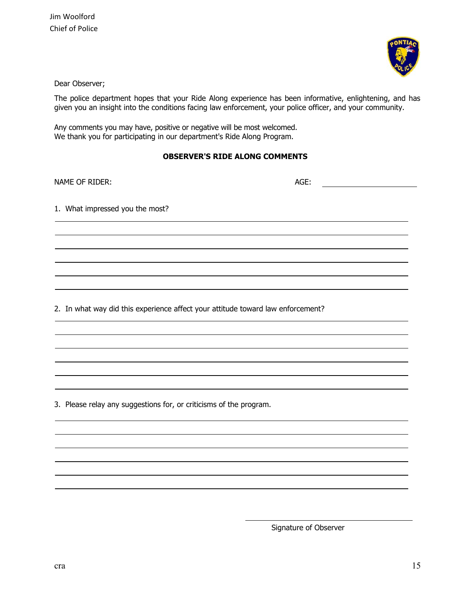Jim Woolford Chief of Police



Dear Observer;

The police department hopes that your Ride Along experience has been informative, enlightening, and has given you an insight into the conditions facing law enforcement, your police officer, and your community.

Any comments you may have, positive or negative will be most welcomed. We thank you for participating in our department's Ride Along Program.

### **OBSERVER'S RIDE ALONG COMMENTS**

| NAME OF RIDER:                                                                  | AGE: |
|---------------------------------------------------------------------------------|------|
| 1. What impressed you the most?                                                 |      |
|                                                                                 |      |
|                                                                                 |      |
|                                                                                 |      |
| 2. In what way did this experience affect your attitude toward law enforcement? |      |
|                                                                                 |      |

3. Please relay any suggestions for, or criticisms of the program.

Signature of Observer